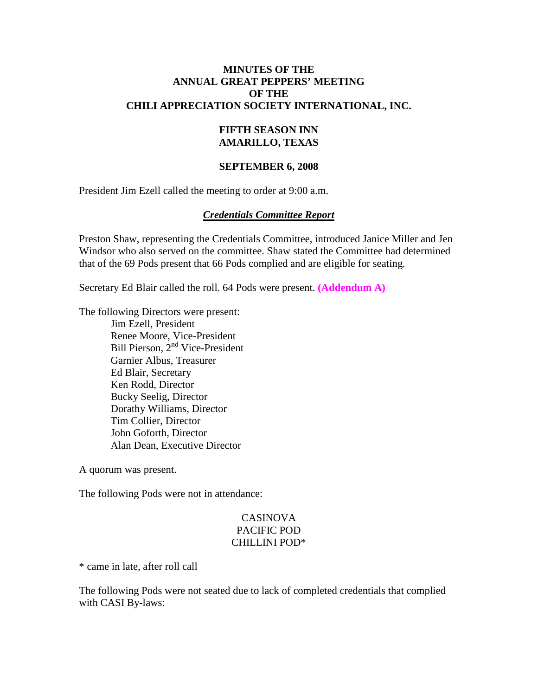#### **MINUTES OF THE ANNUAL GREAT PEPPERS' MEETING OF THE CHILI APPRECIATION SOCIETY INTERNATIONAL, INC.**

#### **FIFTH SEASON INN AMARILLO, TEXAS**

#### **SEPTEMBER 6, 2008**

President Jim Ezell called the meeting to order at 9:00 a.m.

#### *Credentials Committee Report*

Preston Shaw, representing the Credentials Committee, introduced Janice Miller and Jen Windsor who also served on the committee. Shaw stated the Committee had determined that of the 69 Pods present that 66 Pods complied and are eligible for seating.

Secretary Ed Blair called the roll. 64 Pods were present. **(Addendum A)**

The following Directors were present:

Jim Ezell, President Renee Moore, Vice-President Bill Pierson, 2<sup>nd</sup> Vice-President Garnier Albus, Treasurer Ed Blair, Secretary Ken Rodd, Director Bucky Seelig, Director Dorathy Williams, Director Tim Collier, Director John Goforth, Director Alan Dean, Executive Director

A quorum was present.

The following Pods were not in attendance:

#### CASINOVA PACIFIC POD CHILLINI POD\*

\* came in late, after roll call

The following Pods were not seated due to lack of completed credentials that complied with CASI By-laws: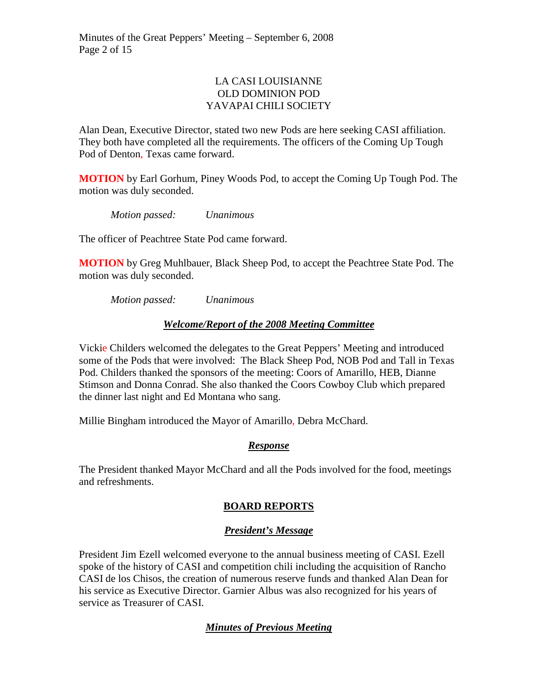## LA CASI LOUISIANNE OLD DOMINION POD YAVAPAI CHILI SOCIETY

Alan Dean, Executive Director, stated two new Pods are here seeking CASI affiliation. They both have completed all the requirements. The officers of the Coming Up Tough Pod of Denton, Texas came forward.

**MOTION** by Earl Gorhum, Piney Woods Pod, to accept the Coming Up Tough Pod. The motion was duly seconded.

*Motion passed: Unanimous* 

The officer of Peachtree State Pod came forward.

**MOTION** by Greg Muhlbauer, Black Sheep Pod, to accept the Peachtree State Pod. The motion was duly seconded.

*Motion passed: Unanimous* 

## *Welcome/Report of the 2008 Meeting Committee*

Vickie Childers welcomed the delegates to the Great Peppers' Meeting and introduced some of the Pods that were involved: The Black Sheep Pod, NOB Pod and Tall in Texas Pod. Childers thanked the sponsors of the meeting: Coors of Amarillo, HEB, Dianne Stimson and Donna Conrad. She also thanked the Coors Cowboy Club which prepared the dinner last night and Ed Montana who sang.

Millie Bingham introduced the Mayor of Amarillo, Debra McChard.

## *Response*

The President thanked Mayor McChard and all the Pods involved for the food, meetings and refreshments.

## **BOARD REPORTS**

## *President's Message*

President Jim Ezell welcomed everyone to the annual business meeting of CASI. Ezell spoke of the history of CASI and competition chili including the acquisition of Rancho CASI de los Chisos, the creation of numerous reserve funds and thanked Alan Dean for his service as Executive Director. Garnier Albus was also recognized for his years of service as Treasurer of CASI.

# *Minutes of Previous Meeting*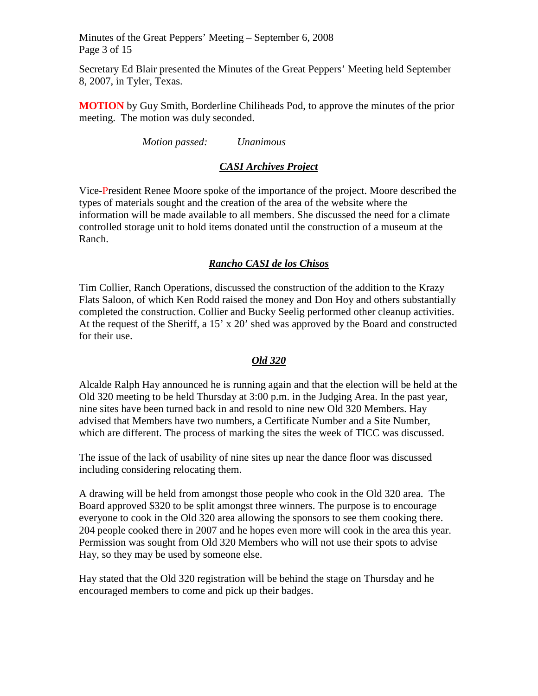Minutes of the Great Peppers' Meeting – September 6, 2008 Page 3 of 15

Secretary Ed Blair presented the Minutes of the Great Peppers' Meeting held September 8, 2007, in Tyler, Texas.

**MOTION** by Guy Smith, Borderline Chiliheads Pod, to approve the minutes of the prior meeting. The motion was duly seconded.

*Motion passed: Unanimous* 

# *CASI Archives Project*

Vice-President Renee Moore spoke of the importance of the project. Moore described the types of materials sought and the creation of the area of the website where the information will be made available to all members. She discussed the need for a climate controlled storage unit to hold items donated until the construction of a museum at the Ranch.

# *Rancho CASI de los Chisos*

Tim Collier, Ranch Operations, discussed the construction of the addition to the Krazy Flats Saloon, of which Ken Rodd raised the money and Don Hoy and others substantially completed the construction. Collier and Bucky Seelig performed other cleanup activities. At the request of the Sheriff, a 15' x 20' shed was approved by the Board and constructed for their use.

## *Old 320*

Alcalde Ralph Hay announced he is running again and that the election will be held at the Old 320 meeting to be held Thursday at 3:00 p.m. in the Judging Area. In the past year, nine sites have been turned back in and resold to nine new Old 320 Members. Hay advised that Members have two numbers, a Certificate Number and a Site Number, which are different. The process of marking the sites the week of TICC was discussed.

The issue of the lack of usability of nine sites up near the dance floor was discussed including considering relocating them.

A drawing will be held from amongst those people who cook in the Old 320 area. The Board approved \$320 to be split amongst three winners. The purpose is to encourage everyone to cook in the Old 320 area allowing the sponsors to see them cooking there. 204 people cooked there in 2007 and he hopes even more will cook in the area this year. Permission was sought from Old 320 Members who will not use their spots to advise Hay, so they may be used by someone else.

Hay stated that the Old 320 registration will be behind the stage on Thursday and he encouraged members to come and pick up their badges.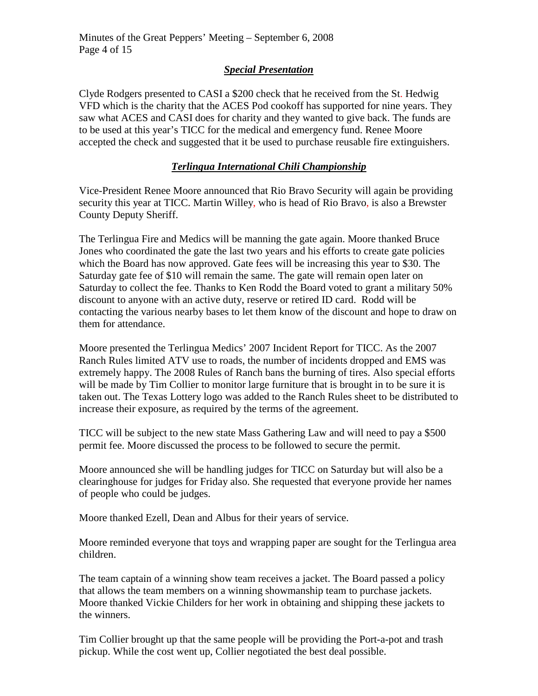## *Special Presentation*

Clyde Rodgers presented to CASI a \$200 check that he received from the St. Hedwig VFD which is the charity that the ACES Pod cookoff has supported for nine years. They saw what ACES and CASI does for charity and they wanted to give back. The funds are to be used at this year's TICC for the medical and emergency fund. Renee Moore accepted the check and suggested that it be used to purchase reusable fire extinguishers.

# *Terlingua International Chili Championship*

Vice-President Renee Moore announced that Rio Bravo Security will again be providing security this year at TICC. Martin Willey, who is head of Rio Bravo, is also a Brewster County Deputy Sheriff.

The Terlingua Fire and Medics will be manning the gate again. Moore thanked Bruce Jones who coordinated the gate the last two years and his efforts to create gate policies which the Board has now approved. Gate fees will be increasing this year to \$30. The Saturday gate fee of \$10 will remain the same. The gate will remain open later on Saturday to collect the fee. Thanks to Ken Rodd the Board voted to grant a military 50% discount to anyone with an active duty, reserve or retired ID card. Rodd will be contacting the various nearby bases to let them know of the discount and hope to draw on them for attendance.

Moore presented the Terlingua Medics' 2007 Incident Report for TICC. As the 2007 Ranch Rules limited ATV use to roads, the number of incidents dropped and EMS was extremely happy. The 2008 Rules of Ranch bans the burning of tires. Also special efforts will be made by Tim Collier to monitor large furniture that is brought in to be sure it is taken out. The Texas Lottery logo was added to the Ranch Rules sheet to be distributed to increase their exposure, as required by the terms of the agreement.

TICC will be subject to the new state Mass Gathering Law and will need to pay a \$500 permit fee. Moore discussed the process to be followed to secure the permit.

Moore announced she will be handling judges for TICC on Saturday but will also be a clearinghouse for judges for Friday also. She requested that everyone provide her names of people who could be judges.

Moore thanked Ezell, Dean and Albus for their years of service.

Moore reminded everyone that toys and wrapping paper are sought for the Terlingua area children.

The team captain of a winning show team receives a jacket. The Board passed a policy that allows the team members on a winning showmanship team to purchase jackets. Moore thanked Vickie Childers for her work in obtaining and shipping these jackets to the winners.

Tim Collier brought up that the same people will be providing the Port-a-pot and trash pickup. While the cost went up, Collier negotiated the best deal possible.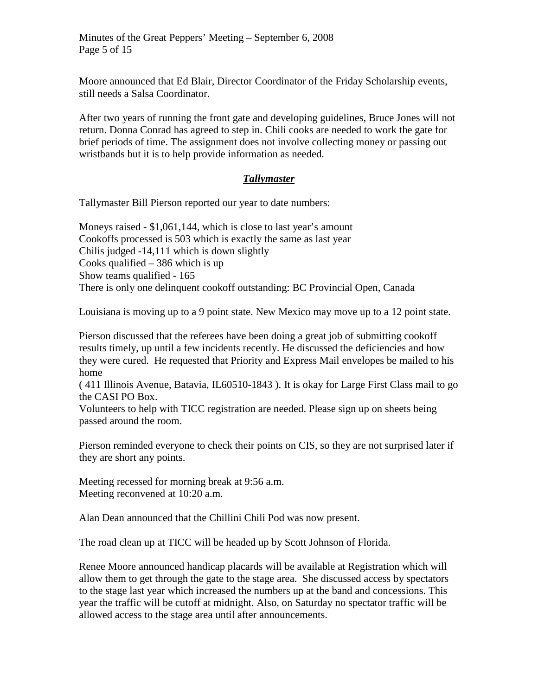Moore announced that Ed Blair, Director Coordinator of the Friday Scholarship events, still needs a Salsa Coordinator.

After two years of running the front gate and developing guidelines, Bruce Jones will not return. Donna Conrad has agreed to step in. Chili cooks are needed to work the gate for brief periods of time. The assignment does not involve collecting money or passing out wristbands but it is to help provide information as needed.

## *Tallymaster*

Tallymaster Bill Pierson reported our year to date numbers:

Moneys raised - \$1,061,144, which is close to last year's amount Cookoffs processed is 503 which is exactly the same as last year Chilis judged -14,111 which is down slightly Cooks qualified – 386 which is up Show teams qualified - 165 There is only one delinquent cookoff outstanding: BC Provincial Open, Canada

Louisiana is moving up to a 9 point state. New Mexico may move up to a 12 point state.

Pierson discussed that the referees have been doing a great job of submitting cookoff results timely, up until a few incidents recently. He discussed the deficiencies and how they were cured. He requested that Priority and Express Mail envelopes be mailed to his home

( 411 Illinois Avenue, Batavia, IL60510-1843 ). It is okay for Large First Class mail to go the CASI PO Box.

Volunteers to help with TICC registration are needed. Please sign up on sheets being passed around the room.

Pierson reminded everyone to check their points on CIS, so they are not surprised later if they are short any points.

Meeting recessed for morning break at 9:56 a.m. Meeting reconvened at 10:20 a.m.

Alan Dean announced that the Chillini Chili Pod was now present.

The road clean up at TICC will be headed up by Scott Johnson of Florida.

Renee Moore announced handicap placards will be available at Registration which will allow them to get through the gate to the stage area. She discussed access by spectators to the stage last year which increased the numbers up at the band and concessions. This year the traffic will be cutoff at midnight. Also, on Saturday no spectator traffic will be allowed access to the stage area until after announcements.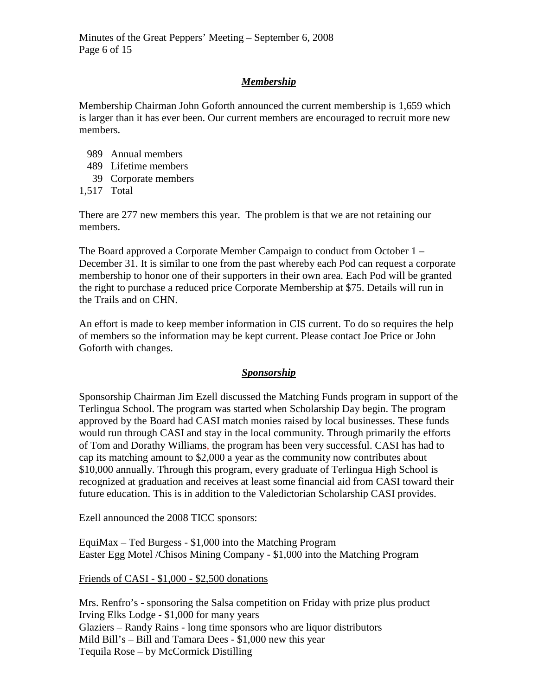# *Membership*

Membership Chairman John Goforth announced the current membership is 1,659 which is larger than it has ever been. Our current members are encouraged to recruit more new members.

- 989 Annual members
- 489 Lifetime members
- 39 Corporate members
- 1,517 Total

There are 277 new members this year. The problem is that we are not retaining our members.

The Board approved a Corporate Member Campaign to conduct from October 1 – December 31. It is similar to one from the past whereby each Pod can request a corporate membership to honor one of their supporters in their own area. Each Pod will be granted the right to purchase a reduced price Corporate Membership at \$75. Details will run in the Trails and on CHN.

An effort is made to keep member information in CIS current. To do so requires the help of members so the information may be kept current. Please contact Joe Price or John Goforth with changes.

## *Sponsorship*

Sponsorship Chairman Jim Ezell discussed the Matching Funds program in support of the Terlingua School. The program was started when Scholarship Day begin. The program approved by the Board had CASI match monies raised by local businesses. These funds would run through CASI and stay in the local community. Through primarily the efforts of Tom and Dorathy Williams, the program has been very successful. CASI has had to cap its matching amount to \$2,000 a year as the community now contributes about \$10,000 annually. Through this program, every graduate of Terlingua High School is recognized at graduation and receives at least some financial aid from CASI toward their future education. This is in addition to the Valedictorian Scholarship CASI provides.

Ezell announced the 2008 TICC sponsors:

EquiMax – Ted Burgess - \$1,000 into the Matching Program Easter Egg Motel /Chisos Mining Company - \$1,000 into the Matching Program

#### Friends of CASI - \$1,000 - \$2,500 donations

Mrs. Renfro's - sponsoring the Salsa competition on Friday with prize plus product Irving Elks Lodge - \$1,000 for many years Glaziers – Randy Rains - long time sponsors who are liquor distributors Mild Bill's – Bill and Tamara Dees - \$1,000 new this year Tequila Rose – by McCormick Distilling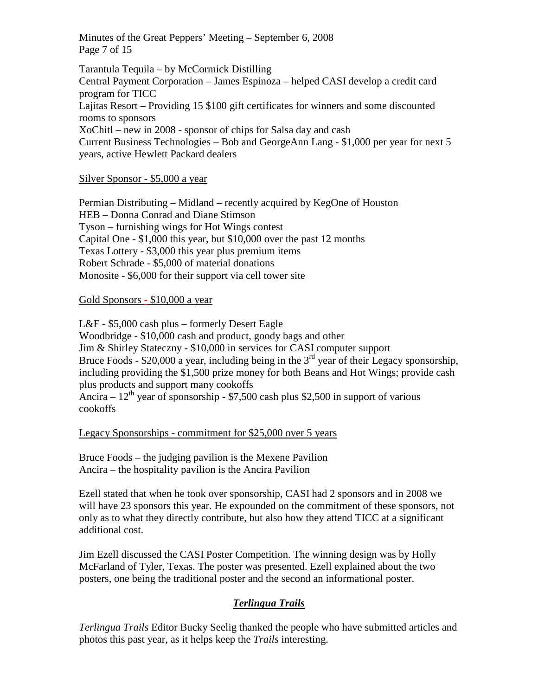Minutes of the Great Peppers' Meeting – September 6, 2008 Page 7 of 15

Tarantula Tequila – by McCormick Distilling Central Payment Corporation – James Espinoza – helped CASI develop a credit card program for TICC Lajitas Resort – Providing 15 \$100 gift certificates for winners and some discounted rooms to sponsors XoChitl – new in 2008 - sponsor of chips for Salsa day and cash Current Business Technologies – Bob and GeorgeAnn Lang - \$1,000 per year for next 5 years, active Hewlett Packard dealers

#### Silver Sponsor - \$5,000 a year

Permian Distributing – Midland – recently acquired by KegOne of Houston HEB – Donna Conrad and Diane Stimson Tyson – furnishing wings for Hot Wings contest Capital One - \$1,000 this year, but \$10,000 over the past 12 months Texas Lottery - \$3,000 this year plus premium items Robert Schrade - \$5,000 of material donations Monosite - \$6,000 for their support via cell tower site

#### Gold Sponsors - \$10,000 a year

L&F - \$5,000 cash plus – formerly Desert Eagle Woodbridge - \$10,000 cash and product, goody bags and other Jim & Shirley Stateczny - \$10,000 in services for CASI computer support Bruce Foods - \$20,000 a year, including being in the  $3<sup>rd</sup>$  year of their Legacy sponsorship, including providing the \$1,500 prize money for both Beans and Hot Wings; provide cash plus products and support many cookoffs Ancira –  $12^{th}$  year of sponsorship - \$7,500 cash plus \$2,500 in support of various cookoffs

#### Legacy Sponsorships - commitment for \$25,000 over 5 years

Bruce Foods – the judging pavilion is the Mexene Pavilion Ancira – the hospitality pavilion is the Ancira Pavilion

Ezell stated that when he took over sponsorship, CASI had 2 sponsors and in 2008 we will have 23 sponsors this year. He expounded on the commitment of these sponsors, not only as to what they directly contribute, but also how they attend TICC at a significant additional cost.

Jim Ezell discussed the CASI Poster Competition. The winning design was by Holly McFarland of Tyler, Texas. The poster was presented. Ezell explained about the two posters, one being the traditional poster and the second an informational poster.

## *Terlingua Trails*

*Terlingua Trails* Editor Bucky Seelig thanked the people who have submitted articles and photos this past year, as it helps keep the *Trails* interesting.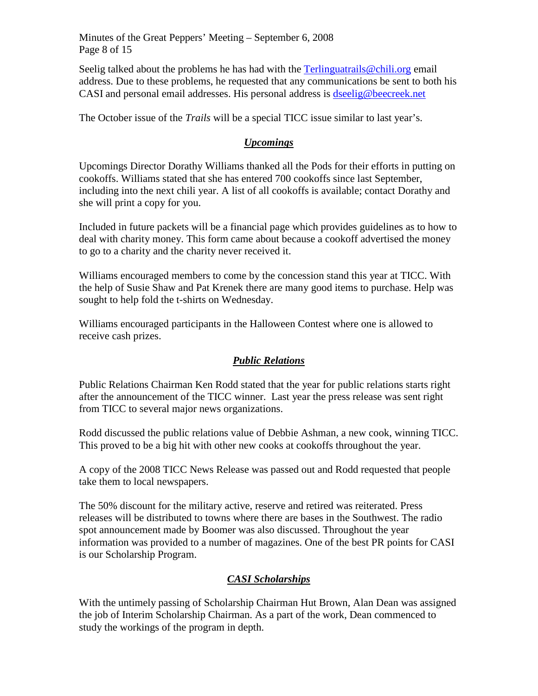Minutes of the Great Peppers' Meeting – September 6, 2008 Page 8 of 15

Seelig talked about the problems he has had with the [Terlinguatrails@chili.org](mailto:Terlinguatrails@chili.org) email address. Due to these problems, he requested that any communications be sent to both his CASI and personal email addresses. His personal address is [dseelig@beecreek.net](mailto:dseelig@beecreek.net) 

The October issue of the *Trails* will be a special TICC issue similar to last year's.

# *Upcomings*

Upcomings Director Dorathy Williams thanked all the Pods for their efforts in putting on cookoffs. Williams stated that she has entered 700 cookoffs since last September, including into the next chili year. A list of all cookoffs is available; contact Dorathy and she will print a copy for you.

Included in future packets will be a financial page which provides guidelines as to how to deal with charity money. This form came about because a cookoff advertised the money to go to a charity and the charity never received it.

Williams encouraged members to come by the concession stand this year at TICC. With the help of Susie Shaw and Pat Krenek there are many good items to purchase. Help was sought to help fold the t-shirts on Wednesday.

Williams encouraged participants in the Halloween Contest where one is allowed to receive cash prizes.

## *Public Relations*

Public Relations Chairman Ken Rodd stated that the year for public relations starts right after the announcement of the TICC winner. Last year the press release was sent right from TICC to several major news organizations.

Rodd discussed the public relations value of Debbie Ashman, a new cook, winning TICC. This proved to be a big hit with other new cooks at cookoffs throughout the year.

A copy of the 2008 TICC News Release was passed out and Rodd requested that people take them to local newspapers.

The 50% discount for the military active, reserve and retired was reiterated. Press releases will be distributed to towns where there are bases in the Southwest. The radio spot announcement made by Boomer was also discussed. Throughout the year information was provided to a number of magazines. One of the best PR points for CASI is our Scholarship Program.

# *CASI Scholarships*

With the untimely passing of Scholarship Chairman Hut Brown, Alan Dean was assigned the job of Interim Scholarship Chairman. As a part of the work, Dean commenced to study the workings of the program in depth.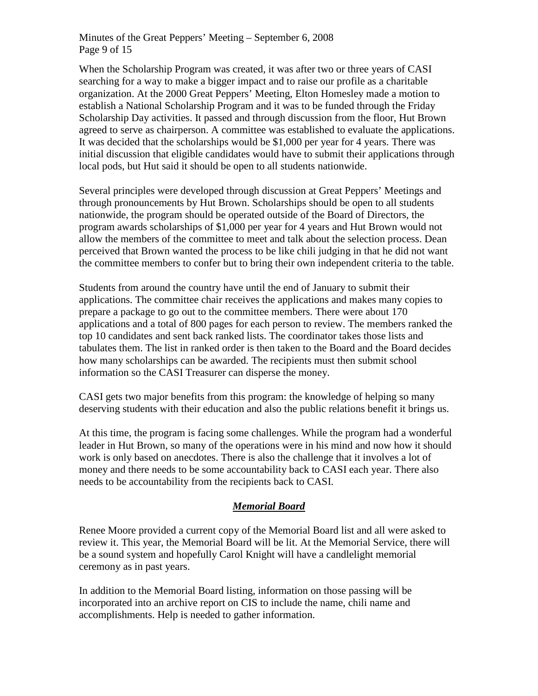Minutes of the Great Peppers' Meeting – September 6, 2008 Page 9 of 15

When the Scholarship Program was created, it was after two or three years of CASI searching for a way to make a bigger impact and to raise our profile as a charitable organization. At the 2000 Great Peppers' Meeting, Elton Homesley made a motion to establish a National Scholarship Program and it was to be funded through the Friday Scholarship Day activities. It passed and through discussion from the floor, Hut Brown agreed to serve as chairperson. A committee was established to evaluate the applications. It was decided that the scholarships would be \$1,000 per year for 4 years. There was initial discussion that eligible candidates would have to submit their applications through local pods, but Hut said it should be open to all students nationwide.

Several principles were developed through discussion at Great Peppers' Meetings and through pronouncements by Hut Brown. Scholarships should be open to all students nationwide, the program should be operated outside of the Board of Directors, the program awards scholarships of \$1,000 per year for 4 years and Hut Brown would not allow the members of the committee to meet and talk about the selection process. Dean perceived that Brown wanted the process to be like chili judging in that he did not want the committee members to confer but to bring their own independent criteria to the table.

Students from around the country have until the end of January to submit their applications. The committee chair receives the applications and makes many copies to prepare a package to go out to the committee members. There were about 170 applications and a total of 800 pages for each person to review. The members ranked the top 10 candidates and sent back ranked lists. The coordinator takes those lists and tabulates them. The list in ranked order is then taken to the Board and the Board decides how many scholarships can be awarded. The recipients must then submit school information so the CASI Treasurer can disperse the money.

CASI gets two major benefits from this program: the knowledge of helping so many deserving students with their education and also the public relations benefit it brings us.

At this time, the program is facing some challenges. While the program had a wonderful leader in Hut Brown, so many of the operations were in his mind and now how it should work is only based on anecdotes. There is also the challenge that it involves a lot of money and there needs to be some accountability back to CASI each year. There also needs to be accountability from the recipients back to CASI.

## *Memorial Board*

Renee Moore provided a current copy of the Memorial Board list and all were asked to review it. This year, the Memorial Board will be lit. At the Memorial Service, there will be a sound system and hopefully Carol Knight will have a candlelight memorial ceremony as in past years.

In addition to the Memorial Board listing, information on those passing will be incorporated into an archive report on CIS to include the name, chili name and accomplishments. Help is needed to gather information.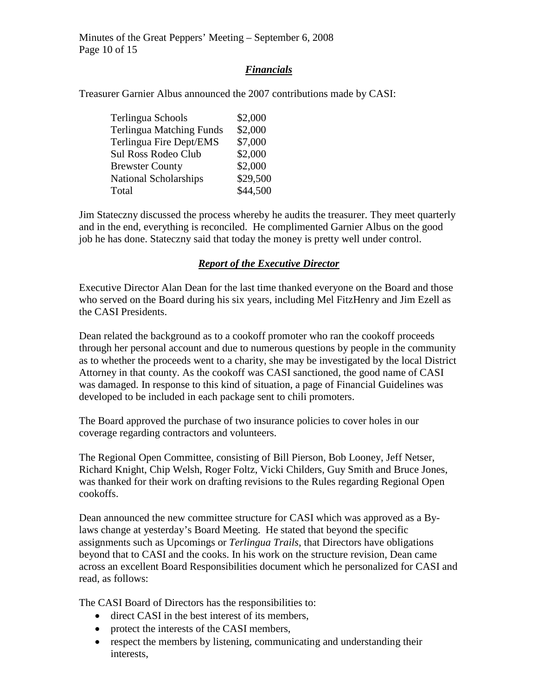Minutes of the Great Peppers' Meeting – September 6, 2008 Page 10 of 15

#### *Financials*

Treasurer Garnier Albus announced the 2007 contributions made by CASI:

| Terlingua Schools               | \$2,000  |
|---------------------------------|----------|
| <b>Terlingua Matching Funds</b> | \$2,000  |
| Terlingua Fire Dept/EMS         | \$7,000  |
| Sul Ross Rodeo Club             | \$2,000  |
| <b>Brewster County</b>          | \$2,000  |
| <b>National Scholarships</b>    | \$29,500 |
| Total                           | \$44,500 |

Jim Stateczny discussed the process whereby he audits the treasurer. They meet quarterly and in the end, everything is reconciled. He complimented Garnier Albus on the good job he has done. Stateczny said that today the money is pretty well under control.

## *Report of the Executive Director*

Executive Director Alan Dean for the last time thanked everyone on the Board and those who served on the Board during his six years, including Mel FitzHenry and Jim Ezell as the CASI Presidents.

Dean related the background as to a cookoff promoter who ran the cookoff proceeds through her personal account and due to numerous questions by people in the community as to whether the proceeds went to a charity, she may be investigated by the local District Attorney in that county. As the cookoff was CASI sanctioned, the good name of CASI was damaged. In response to this kind of situation, a page of Financial Guidelines was developed to be included in each package sent to chili promoters.

The Board approved the purchase of two insurance policies to cover holes in our coverage regarding contractors and volunteers.

The Regional Open Committee, consisting of Bill Pierson, Bob Looney, Jeff Netser, Richard Knight, Chip Welsh, Roger Foltz, Vicki Childers, Guy Smith and Bruce Jones, was thanked for their work on drafting revisions to the Rules regarding Regional Open cookoffs.

Dean announced the new committee structure for CASI which was approved as a Bylaws change at yesterday's Board Meeting. He stated that beyond the specific assignments such as Upcomings or *Terlingua Trails*, that Directors have obligations beyond that to CASI and the cooks. In his work on the structure revision, Dean came across an excellent Board Responsibilities document which he personalized for CASI and read, as follows:

The CASI Board of Directors has the responsibilities to:

- direct CASI in the best interest of its members,
- protect the interests of the CASI members,
- respect the members by listening, communicating and understanding their interests,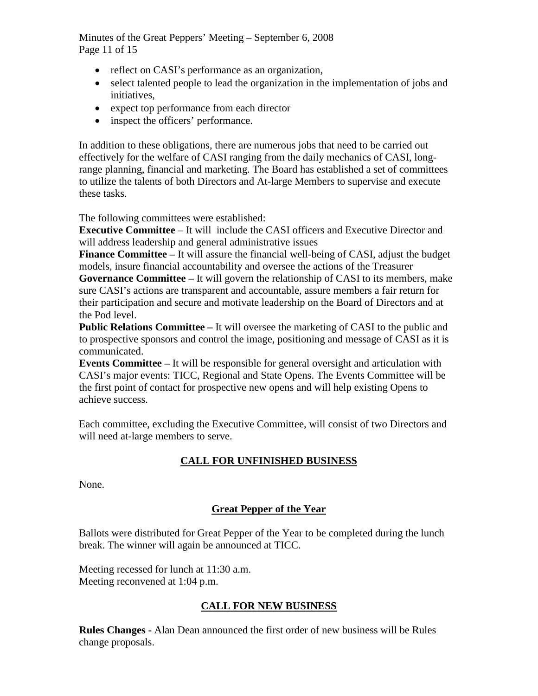Minutes of the Great Peppers' Meeting – September 6, 2008 Page 11 of 15

- reflect on CASI's performance as an organization,
- select talented people to lead the organization in the implementation of jobs and initiatives,
- expect top performance from each director
- inspect the officers' performance.

In addition to these obligations, there are numerous jobs that need to be carried out effectively for the welfare of CASI ranging from the daily mechanics of CASI, longrange planning, financial and marketing. The Board has established a set of committees to utilize the talents of both Directors and At-large Members to supervise and execute these tasks.

The following committees were established:

**Executive Committee** – It will include the CASI officers and Executive Director and will address leadership and general administrative issues

**Finance Committee –** It will assure the financial well-being of CASI, adjust the budget models, insure financial accountability and oversee the actions of the Treasurer

**Governance Committee –** It will govern the relationship of CASI to its members, make sure CASI's actions are transparent and accountable, assure members a fair return for their participation and secure and motivate leadership on the Board of Directors and at the Pod level.

**Public Relations Committee –** It will oversee the marketing of CASI to the public and to prospective sponsors and control the image, positioning and message of CASI as it is communicated.

**Events Committee –** It will be responsible for general oversight and articulation with CASI's major events: TICC, Regional and State Opens. The Events Committee will be the first point of contact for prospective new opens and will help existing Opens to achieve success.

Each committee, excluding the Executive Committee, will consist of two Directors and will need at-large members to serve.

# **CALL FOR UNFINISHED BUSINESS**

None.

# **Great Pepper of the Year**

Ballots were distributed for Great Pepper of the Year to be completed during the lunch break. The winner will again be announced at TICC.

Meeting recessed for lunch at 11:30 a.m. Meeting reconvened at 1:04 p.m.

## **CALL FOR NEW BUSINESS**

**Rules Changes -** Alan Dean announced the first order of new business will be Rules change proposals.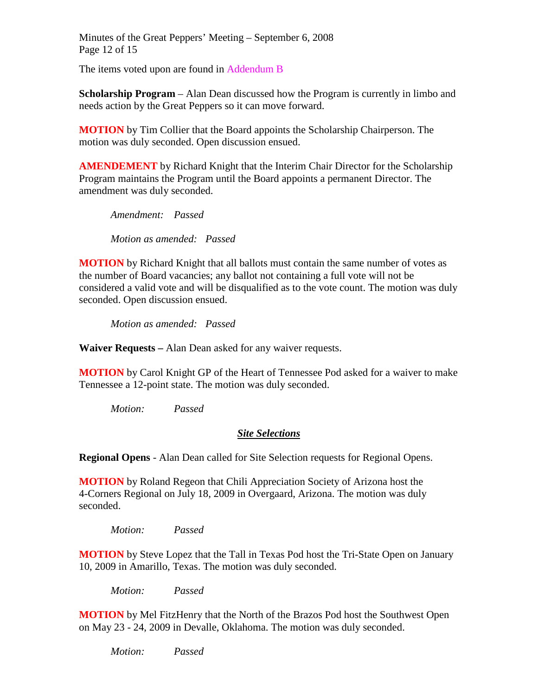Minutes of the Great Peppers' Meeting – September 6, 2008 Page 12 of 15

The items voted upon are found in Addendum B

**Scholarship Program** – Alan Dean discussed how the Program is currently in limbo and needs action by the Great Peppers so it can move forward.

**MOTION** by Tim Collier that the Board appoints the Scholarship Chairperson. The motion was duly seconded. Open discussion ensued.

**AMENDEMENT** by Richard Knight that the Interim Chair Director for the Scholarship Program maintains the Program until the Board appoints a permanent Director. The amendment was duly seconded.

 *Amendment: Passed Motion as amended: Passed*

**MOTION** by Richard Knight that all ballots must contain the same number of votes as the number of Board vacancies; any ballot not containing a full vote will not be considered a valid vote and will be disqualified as to the vote count. The motion was duly seconded. Open discussion ensued.

*Motion as amended: Passed*

**Waiver Requests –** Alan Dean asked for any waiver requests.

**MOTION** by Carol Knight GP of the Heart of Tennessee Pod asked for a waiver to make Tennessee a 12-point state. The motion was duly seconded.

 *Motion: Passed* 

#### *Site Selections*

**Regional Opens** - Alan Dean called for Site Selection requests for Regional Opens.

**MOTION** by Roland Regeon that Chili Appreciation Society of Arizona host the 4-Corners Regional on July 18, 2009 in Overgaard, Arizona. The motion was duly seconded.

 *Motion: Passed* 

**MOTION** by Steve Lopez that the Tall in Texas Pod host the Tri-State Open on January 10, 2009 in Amarillo, Texas. The motion was duly seconded.

 *Motion: Passed* 

**MOTION** by Mel FitzHenry that the North of the Brazos Pod host the Southwest Open on May 23 - 24, 2009 in Devalle, Oklahoma. The motion was duly seconded.

 *Motion: Passed*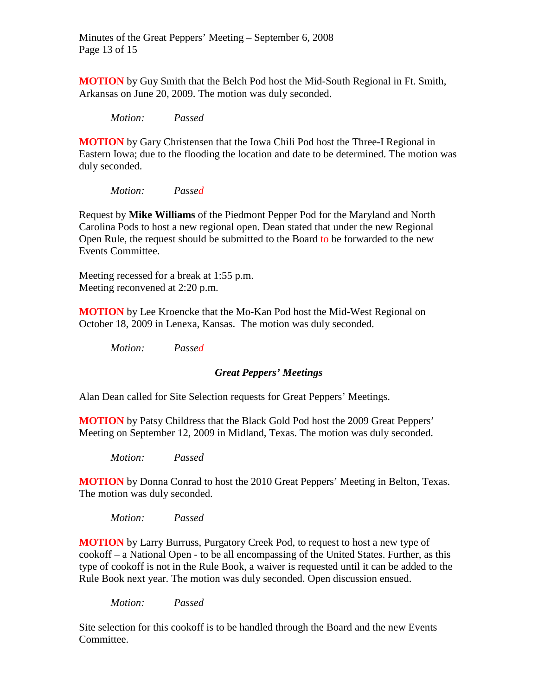Minutes of the Great Peppers' Meeting – September 6, 2008 Page 13 of 15

**MOTION** by Guy Smith that the Belch Pod host the Mid-South Regional in Ft. Smith, Arkansas on June 20, 2009. The motion was duly seconded.

*Motion: Passed*

**MOTION** by Gary Christensen that the Iowa Chili Pod host the Three-I Regional in Eastern Iowa; due to the flooding the location and date to be determined. The motion was duly seconded.

*Motion: Passed*

Request by **Mike Williams** of the Piedmont Pepper Pod for the Maryland and North Carolina Pods to host a new regional open. Dean stated that under the new Regional Open Rule, the request should be submitted to the Board to be forwarded to the new Events Committee.

Meeting recessed for a break at 1:55 p.m. Meeting reconvened at 2:20 p.m.

**MOTION** by Lee Kroencke that the Mo-Kan Pod host the Mid-West Regional on October 18, 2009 in Lenexa, Kansas. The motion was duly seconded.

*Motion: Passed*

#### *Great Peppers' Meetings*

Alan Dean called for Site Selection requests for Great Peppers' Meetings.

**MOTION** by Patsy Childress that the Black Gold Pod host the 2009 Great Peppers' Meeting on September 12, 2009 in Midland, Texas. The motion was duly seconded.

*Motion: Passed* 

**MOTION** by Donna Conrad to host the 2010 Great Peppers' Meeting in Belton, Texas. The motion was duly seconded.

*Motion: Passed* 

**MOTION** by Larry Burruss, Purgatory Creek Pod, to request to host a new type of cookoff – a National Open - to be all encompassing of the United States. Further, as this type of cookoff is not in the Rule Book, a waiver is requested until it can be added to the Rule Book next year. The motion was duly seconded. Open discussion ensued.

*Motion: Passed* 

Site selection for this cookoff is to be handled through the Board and the new Events Committee.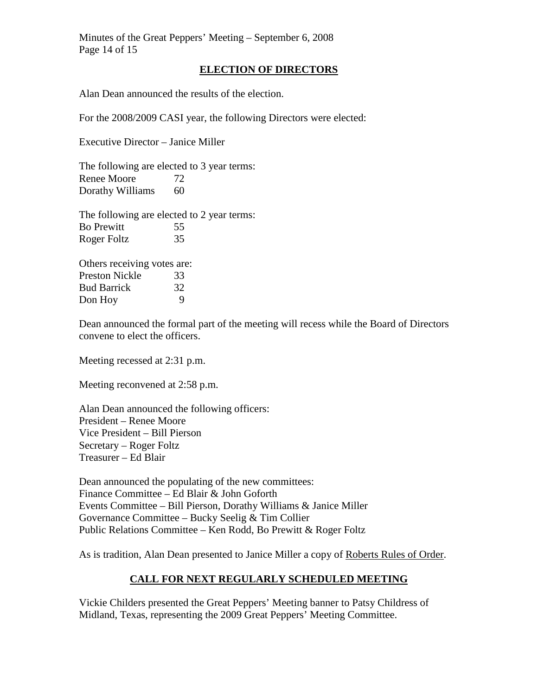Minutes of the Great Peppers' Meeting – September 6, 2008 Page 14 of 15

#### **ELECTION OF DIRECTORS**

Alan Dean announced the results of the election.

For the 2008/2009 CASI year, the following Directors were elected:

Executive Director – Janice Miller

The following are elected to 3 year terms: Renee Moore 72 Dorathy Williams 60

The following are elected to 2 year terms: Bo Prewitt 55 Roger Foltz 35

Others receiving votes are: Preston Nickle 33 Bud Barrick 32 Don Hoy 9

Dean announced the formal part of the meeting will recess while the Board of Directors convene to elect the officers.

Meeting recessed at 2:31 p.m.

Meeting reconvened at 2:58 p.m.

Alan Dean announced the following officers: President – Renee Moore Vice President – Bill Pierson Secretary – Roger Foltz Treasurer – Ed Blair

Dean announced the populating of the new committees: Finance Committee – Ed Blair & John Goforth Events Committee – Bill Pierson, Dorathy Williams & Janice Miller Governance Committee – Bucky Seelig & Tim Collier Public Relations Committee – Ken Rodd, Bo Prewitt & Roger Foltz

As is tradition, Alan Dean presented to Janice Miller a copy of Roberts Rules of Order.

## **CALL FOR NEXT REGULARLY SCHEDULED MEETING**

Vickie Childers presented the Great Peppers' Meeting banner to Patsy Childress of Midland, Texas, representing the 2009 Great Peppers' Meeting Committee.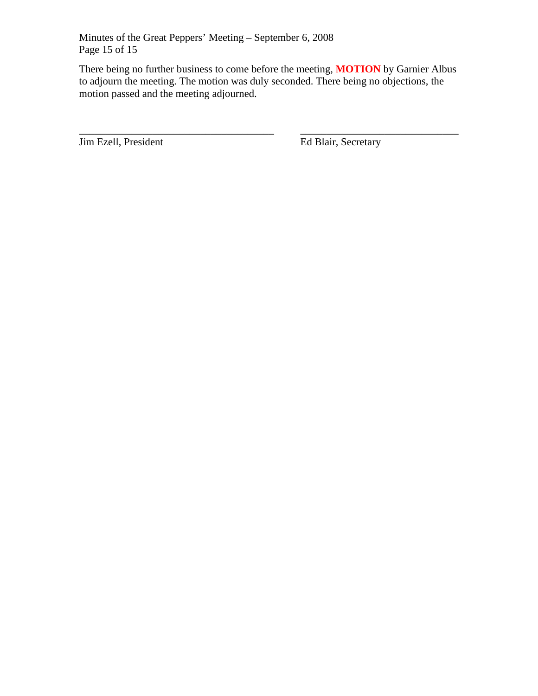Minutes of the Great Peppers' Meeting – September 6, 2008 Page 15 of 15

There being no further business to come before the meeting, **MOTION** by Garnier Albus to adjourn the meeting. The motion was duly seconded. There being no objections, the motion passed and the meeting adjourned.

\_\_\_\_\_\_\_\_\_\_\_\_\_\_\_\_\_\_\_\_\_\_\_\_\_\_\_\_\_\_\_\_\_\_\_\_\_ \_\_\_\_\_\_\_\_\_\_\_\_\_\_\_\_\_\_\_\_\_\_\_\_\_\_\_\_\_\_

**Jim Ezell, President Ed Blair, Secretary**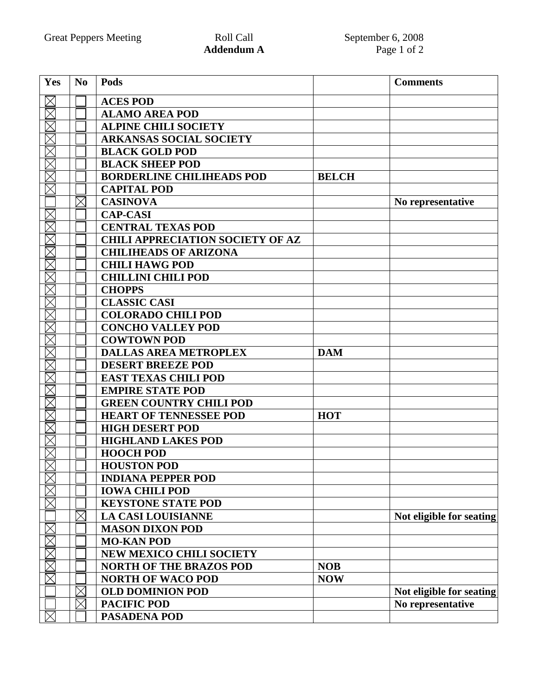| Yes                     | N <sub>0</sub> | Pods                                    |              | <b>Comments</b>          |
|-------------------------|----------------|-----------------------------------------|--------------|--------------------------|
| $\boxtimes$             |                | <b>ACES POD</b>                         |              |                          |
| $\overline{\mathbb{Z}}$ |                | <b>ALAMO AREA POD</b>                   |              |                          |
| $\boxtimes$             |                | <b>ALPINE CHILI SOCIETY</b>             |              |                          |
| $\boxtimes$             |                | <b>ARKANSAS SOCIAL SOCIETY</b>          |              |                          |
| $\boxtimes$             |                | <b>BLACK GOLD POD</b>                   |              |                          |
| $\boxtimes$             |                | <b>BLACK SHEEP POD</b>                  |              |                          |
| $\overline{\boxtimes}$  |                | <b>BORDERLINE CHILIHEADS POD</b>        | <b>BELCH</b> |                          |
| $\boxtimes$             |                | <b>CAPITAL POD</b>                      |              |                          |
|                         | $\times$       | <b>CASINOVA</b>                         |              | No representative        |
| $\boxtimes$             |                | <b>CAP-CASI</b>                         |              |                          |
| $\boxtimes$             |                | <b>CENTRAL TEXAS POD</b>                |              |                          |
| $\boxtimes$             |                | <b>CHILI APPRECIATION SOCIETY OF AZ</b> |              |                          |
| $\boxtimes$             |                | <b>CHILIHEADS OF ARIZONA</b>            |              |                          |
| $\boxtimes$             |                | <b>CHILI HAWG POD</b>                   |              |                          |
| $\overline{\boxtimes}$  |                | <b>CHILLINI CHILI POD</b>               |              |                          |
| $\boxtimes$             |                | <b>CHOPPS</b>                           |              |                          |
| $\boxtimes$             |                | <b>CLASSIC CASI</b>                     |              |                          |
| $\boxtimes$             |                | <b>COLORADO CHILI POD</b>               |              |                          |
| $\boxtimes$             |                | <b>CONCHO VALLEY POD</b>                |              |                          |
| $\overline{\mathbb{X}}$ |                | <b>COWTOWN POD</b>                      |              |                          |
| $\boxtimes$             |                | <b>DALLAS AREA METROPLEX</b>            | <b>DAM</b>   |                          |
| $\boxtimes$             |                | <b>DESERT BREEZE POD</b>                |              |                          |
| $\boxtimes$             |                | <b>EAST TEXAS CHILI POD</b>             |              |                          |
| $\boxtimes$             |                | <b>EMPIRE STATE POD</b>                 |              |                          |
| $\times$                |                | <b>GREEN COUNTRY CHILI POD</b>          |              |                          |
| $\boxtimes$             |                | <b>HEART OF TENNESSEE POD</b>           | <b>HOT</b>   |                          |
| $\times$                |                | <b>HIGH DESERT POD</b>                  |              |                          |
| $\times$                |                | <b>HIGHLAND LAKES POD</b>               |              |                          |
| $\boxtimes$             |                | <b>HOOCH POD</b>                        |              |                          |
| $\overline{\nabla}$     |                | <b>HOUSTON POD</b>                      |              |                          |
| $\boxtimes$             |                | <b>INDIANA PEPPER POD</b>               |              |                          |
|                         |                | <b>IOWA CHILI POD</b>                   |              |                          |
|                         |                | <b>KEYSTONE STATE POD</b>               |              |                          |
|                         | $\times$       | <b>LA CASI LOUISIANNE</b>               |              | Not eligible for seating |
| $\boxtimes$             |                | <b>MASON DIXON POD</b>                  |              |                          |
|                         |                | <b>MO-KAN POD</b>                       |              |                          |
| K<br>K                  |                | <b>NEW MEXICO CHILI SOCIETY</b>         |              |                          |
|                         |                | <b>NORTH OF THE BRAZOS POD</b>          | <b>NOB</b>   |                          |
|                         |                | <b>NORTH OF WACO POD</b>                | <b>NOW</b>   |                          |
|                         | $\times$       | <b>OLD DOMINION POD</b>                 |              | Not eligible for seating |
|                         | $\times$       | <b>PACIFIC POD</b>                      |              | No representative        |
| $\boxtimes$             |                | <b>PASADENA POD</b>                     |              |                          |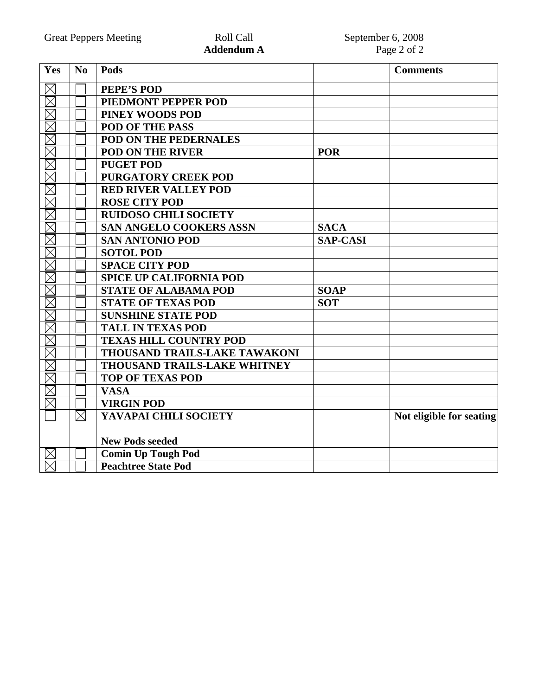| Yes                                | N <sub>0</sub> | Pods                                |                 | <b>Comments</b>          |
|------------------------------------|----------------|-------------------------------------|-----------------|--------------------------|
| $\boxtimes$                        |                | PEPE'S POD                          |                 |                          |
| $\overline{\boxtimes}$             |                | PIEDMONT PEPPER POD                 |                 |                          |
| $\overline{\boxtimes}$             |                | PINEY WOODS POD                     |                 |                          |
| $\boxtimes$                        |                | <b>POD OF THE PASS</b>              |                 |                          |
| $\overline{\boxtimes}$             |                | POD ON THE PEDERNALES               |                 |                          |
| K                                  |                | <b>POD ON THE RIVER</b>             | <b>POR</b>      |                          |
|                                    |                | <b>PUGET POD</b>                    |                 |                          |
| $\overline{\boxtimes}$             |                | PURGATORY CREEK POD                 |                 |                          |
| $\boxtimes$                        |                | <b>RED RIVER VALLEY POD</b>         |                 |                          |
| $\overline{\boxtimes}$             |                | <b>ROSE CITY POD</b>                |                 |                          |
| $\boxtimes$                        |                | <b>RUIDOSO CHILI SOCIETY</b>        |                 |                          |
|                                    |                | <b>SAN ANGELO COOKERS ASSN</b>      | <b>SACA</b>     |                          |
| KK                                 |                | <b>SAN ANTONIO POD</b>              | <b>SAP-CASI</b> |                          |
| $\overline{\mathbb{X}}$            |                | <b>SOTOL POD</b>                    |                 |                          |
| $\overline{\boxtimes}$             |                | <b>SPACE CITY POD</b>               |                 |                          |
| $\overline{\boxtimes}$             |                | <b>SPICE UP CALIFORNIA POD</b>      |                 |                          |
| $\overline{\boxtimes}$             |                | <b>STATE OF ALABAMA POD</b>         | <b>SOAP</b>     |                          |
| $\overline{\boxtimes}$             |                | <b>STATE OF TEXAS POD</b>           | <b>SOT</b>      |                          |
| $\overline{\boxtimes}$             |                | <b>SUNSHINE STATE POD</b>           |                 |                          |
| $\overline{\boxtimes}$             |                | <b>TALL IN TEXAS POD</b>            |                 |                          |
| $\overline{\boxtimes}$             |                | <b>TEXAS HILL COUNTRY POD</b>       |                 |                          |
| $\boxtimes$                        |                | THOUSAND TRAILS-LAKE TAWAKONI       |                 |                          |
| $\overline{\boxtimes}$             |                | <b>THOUSAND TRAILS-LAKE WHITNEY</b> |                 |                          |
| $\overline{\overline{\mathbb{X}}}$ |                | <b>TOP OF TEXAS POD</b>             |                 |                          |
| $\boxtimes$                        |                | <b>VASA</b>                         |                 |                          |
| $\times$                           |                | <b>VIRGIN POD</b>                   |                 |                          |
|                                    | $\boxtimes$    | YAVAPAI CHILI SOCIETY               |                 | Not eligible for seating |
|                                    |                |                                     |                 |                          |
|                                    |                | <b>New Pods seeded</b>              |                 |                          |
| $\boxtimes$                        |                | <b>Comin Up Tough Pod</b>           |                 |                          |
| $\boxtimes$                        |                | <b>Peachtree State Pod</b>          |                 |                          |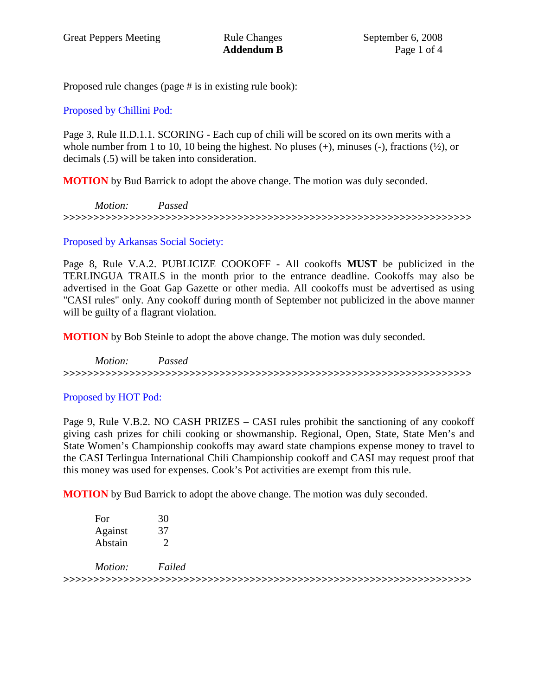Proposed rule changes (page # is in existing rule book):

# Proposed by Chillini Pod:

Page 3, Rule II.D.1.1. SCORING - Each cup of chili will be scored on its own merits with a whole number from 1 to 10, 10 being the highest. No pluses  $(+)$ , minuses  $(-)$ , fractions  $(\frac{1}{2})$ , or decimals (.5) will be taken into consideration.

**MOTION** by Bud Barrick to adopt the above change. The motion was duly seconded.

*Motion: Passed* **>>>>>>>>>>>>>>>>>>>>>>>>>>>>>>>>>>>>>>>>>>>>>>>>>>>>>>>>>>>>>>>>>>>>** 

## Proposed by Arkansas Social Society:

Page 8, Rule V.A.2. PUBLICIZE COOKOFF - All cookoffs **MUST** be publicized in the TERLINGUA TRAILS in the month prior to the entrance deadline. Cookoffs may also be advertised in the Goat Gap Gazette or other media. All cookoffs must be advertised as using "CASI rules" only. Any cookoff during month of September not publicized in the above manner will be guilty of a flagrant violation.

**MOTION** by Bob Steinle to adopt the above change. The motion was duly seconded.

*Motion: Passed* **>>>>>>>>>>>>>>>>>>>>>>>>>>>>>>>>>>>>>>>>>>>>>>>>>>>>>>>>>>>>>>>>>>>>** 

# Proposed by HOT Pod:

Page 9, Rule V.B.2. NO CASH PRIZES – CASI rules prohibit the sanctioning of any cookoff giving cash prizes for chili cooking or showmanship. Regional, Open, State, State Men's and State Women's Championship cookoffs may award state champions expense money to travel to the CASI Terlingua International Chili Championship cookoff and CASI may request proof that this money was used for expenses. Cook's Pot activities are exempt from this rule.

**MOTION** by Bud Barrick to adopt the above change. The motion was duly seconded.

| For            | 30     |
|----------------|--------|
| Against        | 37     |
| <b>Abstain</b> |        |
| Motion:        | Failed |
|                |        |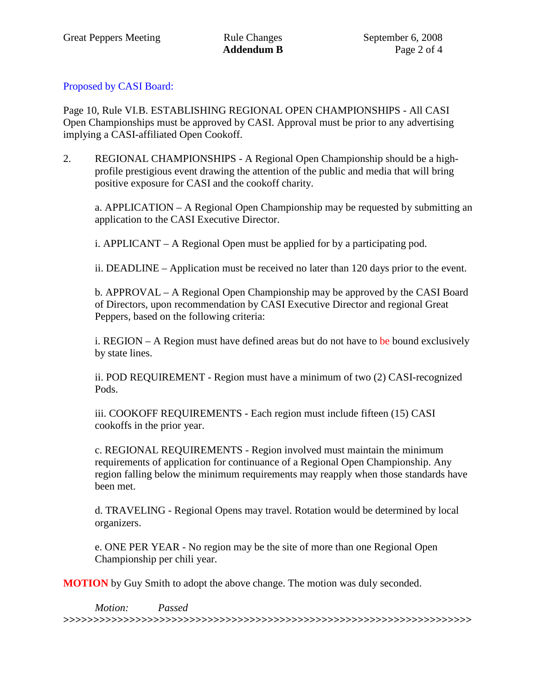# Proposed by CASI Board:

Page 10, Rule VI.B. ESTABLISHING REGIONAL OPEN CHAMPIONSHIPS - All CASI Open Championships must be approved by CASI. Approval must be prior to any advertising implying a CASI-affiliated Open Cookoff.

2. REGIONAL CHAMPIONSHIPS - A Regional Open Championship should be a highprofile prestigious event drawing the attention of the public and media that will bring positive exposure for CASI and the cookoff charity.

a. APPLICATION – A Regional Open Championship may be requested by submitting an application to the CASI Executive Director.

i. APPLICANT – A Regional Open must be applied for by a participating pod.

ii. DEADLINE – Application must be received no later than 120 days prior to the event.

b. APPROVAL – A Regional Open Championship may be approved by the CASI Board of Directors, upon recommendation by CASI Executive Director and regional Great Peppers, based on the following criteria:

i. REGION – A Region must have defined areas but do not have to be bound exclusively by state lines.

ii. POD REQUIREMENT - Region must have a minimum of two (2) CASI-recognized Pods.

iii. COOKOFF REQUIREMENTS - Each region must include fifteen (15) CASI cookoffs in the prior year.

c. REGIONAL REQUIREMENTS - Region involved must maintain the minimum requirements of application for continuance of a Regional Open Championship. Any region falling below the minimum requirements may reapply when those standards have been met.

d. TRAVELING - Regional Opens may travel. Rotation would be determined by local organizers.

e. ONE PER YEAR - No region may be the site of more than one Regional Open Championship per chili year.

**MOTION** by Guy Smith to adopt the above change. The motion was duly seconded.

*Motion: Passed*  **>>>>>>>>>>>>>>>>>>>>>>>>>>>>>>>>>>>>>>>>>>>>>>>>>>>>>>>>>>>>>>>>>>>>**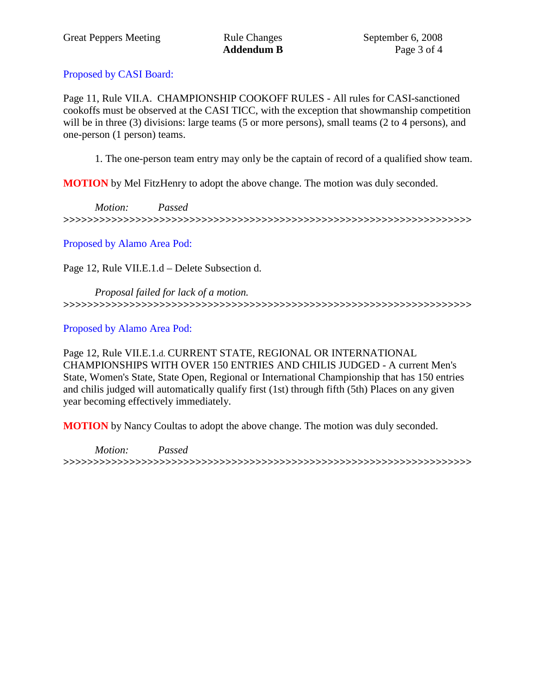# Proposed by CASI Board:

Page 11, Rule VII.A. CHAMPIONSHIP COOKOFF RULES - All rules for CASI-sanctioned cookoffs must be observed at the CASI TICC, with the exception that showmanship competition will be in three (3) divisions: large teams (5 or more persons), small teams (2 to 4 persons), and one-person (1 person) teams.

1. The one-person team entry may only be the captain of record of a qualified show team.

**MOTION** by Mel FitzHenry to adopt the above change. The motion was duly seconded.

*Motion: Passed*  **>>>>>>>>>>>>>>>>>>>>>>>>>>>>>>>>>>>>>>>>>>>>>>>>>>>>>>>>>>>>>>>>>>>>** 

Proposed by Alamo Area Pod:

Page 12, Rule VII.E.1.d – Delete Subsection d.

*Proposal failed for lack of a motion.*  **>>>>>>>>>>>>>>>>>>>>>>>>>>>>>>>>>>>>>>>>>>>>>>>>>>>>>>>>>>>>>>>>>>>>** 

Proposed by Alamo Area Pod:

Page 12, Rule VII.E.1.d. CURRENT STATE, REGIONAL OR INTERNATIONAL CHAMPIONSHIPS WITH OVER 150 ENTRIES AND CHILIS JUDGED - A current Men's State, Women's State, State Open, Regional or International Championship that has 150 entries and chilis judged will automatically qualify first (1st) through fifth (5th) Places on any given year becoming effectively immediately.

**MOTION** by Nancy Coultas to adopt the above change. The motion was duly seconded.

*Motion: Passed*  **>>>>>>>>>>>>>>>>>>>>>>>>>>>>>>>>>>>>>>>>>>>>>>>>>>>>>>>>>>>>>>>>>>>>**